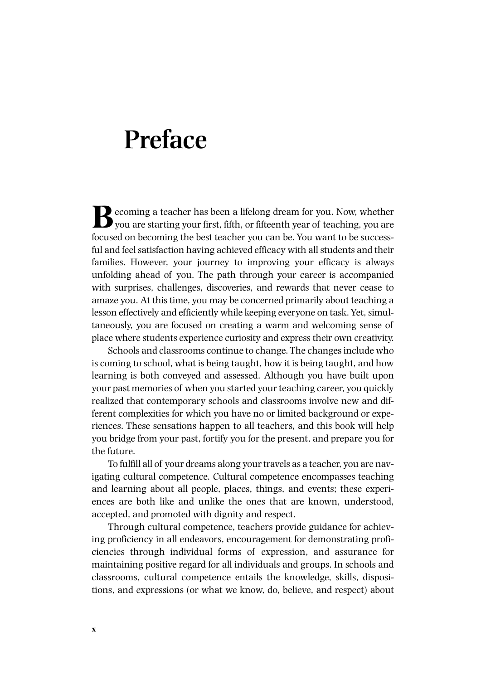## **Preface**

**B**ecoming a teacher has been a lifelong dream for you. Now, whether you are starting your first, fifth, or fifteenth year of teaching, you are focused on becoming the best teacher you can be. You want to be successful and feel satisfaction having achieved efficacy with all students and their families. However, your journey to improving your efficacy is always unfolding ahead of you. The path through your career is accompanied with surprises, challenges, discoveries, and rewards that never cease to amaze you. At this time, you may be concerned primarily about teaching a lesson effectively and efficiently while keeping everyone on task. Yet, simultaneously, you are focused on creating a warm and welcoming sense of place where students experience curiosity and express their own creativity.

Schools and classrooms continue to change. The changes include who is coming to school, what is being taught, how it is being taught, and how learning is both conveyed and assessed. Although you have built upon your past memories of when you started your teaching career, you quickly realized that contemporary schools and classrooms involve new and different complexities for which you have no or limited background or experiences. These sensations happen to all teachers, and this book will help you bridge from your past, fortify you for the present, and prepare you for the future.

To fulfill all of your dreams along your travels as a teacher, you are navigating cultural competence. Cultural competence encompasses teaching and learning about all people, places, things, and events; these experiences are both like and unlike the ones that are known, understood, accepted, and promoted with dignity and respect.

Through cultural competence, teachers provide guidance for achieving proficiency in all endeavors, encouragement for demonstrating proficiencies through individual forms of expression, and assurance for maintaining positive regard for all individuals and groups. In schools and classrooms, cultural competence entails the knowledge, skills, dispositions, and expressions (or what we know, do, believe, and respect) about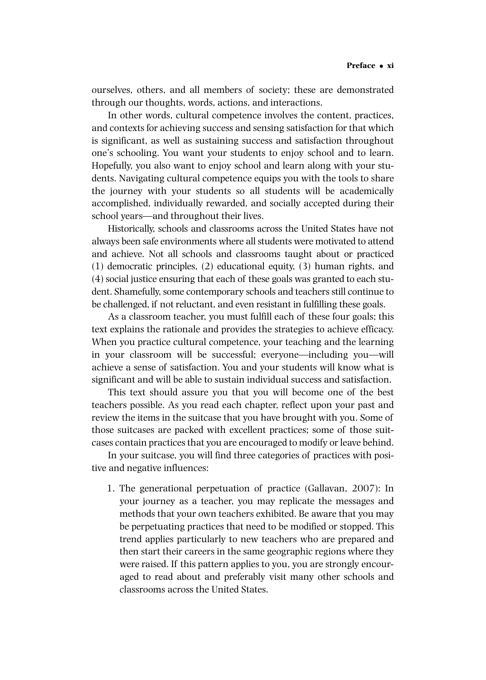ourselves, others, and all members of society; these are demonstrated through our thoughts, words, actions, and interactions.

In other words, cultural competence involves the content, practices, and contexts for achieving success and sensing satisfaction for that which is significant, as well as sustaining success and satisfaction throughout one's schooling. You want your students to enjoy school and to learn. Hopefully, you also want to enjoy school and learn along with your students. Navigating cultural competence equips you with the tools to share the journey with your students so all students will be academically accomplished, individually rewarded, and socially accepted during their school years—and throughout their lives.

Historically, schools and classrooms across the United States have not always been safe environments where all students were motivated to attend and achieve. Not all schools and classrooms taught about or practiced (1) democratic principles, (2) educational equity, (3) human rights, and (4) social justice ensuring that each of these goals was granted to each student. Shamefully, some contemporary schools and teachers still continue to be challenged, if not reluctant, and even resistant in fulfilling these goals.

As a classroom teacher, you must fulfill each of these four goals; this text explains the rationale and provides the strategies to achieve efficacy. When you practice cultural competence, your teaching and the learning in your classroom will be successful; everyone—including you—will achieve a sense of satisfaction. You and your students will know what is significant and will be able to sustain individual success and satisfaction.

This text should assure you that you will become one of the best teachers possible. As you read each chapter, reflect upon your past and review the items in the suitcase that you have brought with you. Some of those suitcases are packed with excellent practices; some of those suitcases contain practices that you are encouraged to modify or leave behind.

In your suitcase, you will find three categories of practices with positive and negative influences:

1. The generational perpetuation of practice (Gallavan, 2007): In your journey as a teacher, you may replicate the messages and methods that your own teachers exhibited. Be aware that you may be perpetuating practices that need to be modified or stopped. This trend applies particularly to new teachers who are prepared and then start their careers in the same geographic regions where they were raised. If this pattern applies to you, you are strongly encouraged to read about and preferably visit many other schools and classrooms across the United States.